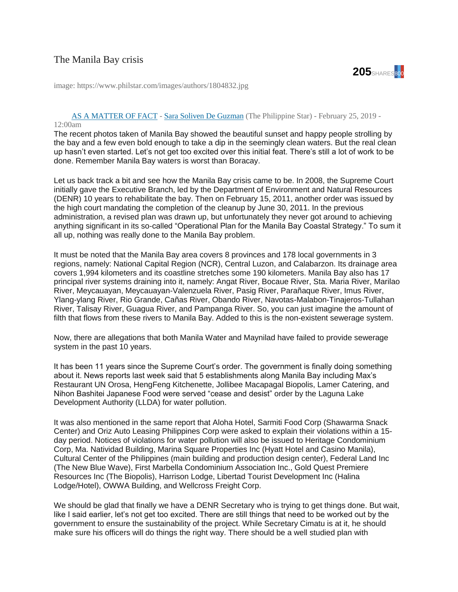## The Manila Bay crisis



image: https://www.philstar.com/images/authors/1804832.jpg

## [AS A MATTER OF FACT](https://www.philstar.com/columns/133536) - [Sara Soliven De Guzman](https://www.philstar.com/authors/1804832/sara-soliven-de-guzman) (The Philippine Star) - February 25, 2019 -

## 12:00am

The recent photos taken of Manila Bay showed the beautiful sunset and happy people strolling by the bay and a few even bold enough to take a dip in the seemingly clean waters. But the real clean up hasn't even started. Let's not get too excited over this initial feat. There's still a lot of work to be done. Remember Manila Bay waters is worst than Boracay.

Let us back track a bit and see how the Manila Bay crisis came to be. In 2008, the Supreme Court initially gave the Executive Branch, led by the Department of Environment and Natural Resources (DENR) 10 years to rehabilitate the bay. Then on February 15, 2011, another order was issued by the high court mandating the completion of the cleanup by June 30, 2011. In the previous administration, a revised plan was drawn up, but unfortunately they never got around to achieving anything significant in its so-called "Operational Plan for the Manila Bay Coastal Strategy." To sum it all up, nothing was really done to the Manila Bay problem.

It must be noted that the Manila Bay area covers 8 provinces and 178 local governments in 3 regions, namely: National Capital Region (NCR), Central Luzon, and Calabarzon. Its drainage area covers 1,994 kilometers and its coastline stretches some 190 kilometers. Manila Bay also has 17 principal river systems draining into it, namely: Angat River, Bocaue River, Sta. Maria River, Marilao River, Meycauayan, Meycauayan-Valenzuela River, Pasig River, Parañaque River, Imus River, Ylang-ylang River, Rio Grande, Cañas River, Obando River, Navotas-Malabon-Tinajeros-Tullahan River, Talisay River, Guagua River, and Pampanga River. So, you can just imagine the amount of filth that flows from these rivers to Manila Bay. Added to this is the non-existent sewerage system.

Now, there are allegations that both Manila Water and Maynilad have failed to provide sewerage system in the past 10 years.

It has been 11 years since the Supreme Court's order. The government is finally doing something about it. News reports last week said that 5 establishments along Manila Bay including Max's Restaurant UN Orosa, HengFeng Kitchenette, Jollibee Macapagal Biopolis, Lamer Catering, and Nihon Bashitei Japanese Food were served "cease and desist" order by the Laguna Lake Development Authority (LLDA) for water pollution.

It was also mentioned in the same report that Aloha Hotel, Sarmiti Food Corp (Shawarma Snack Center) and Oriz Auto Leasing Philippines Corp were asked to explain their violations within a 15 day period. Notices of violations for water pollution will also be issued to Heritage Condominium Corp, Ma. Natividad Building, Marina Square Properties Inc (Hyatt Hotel and Casino Manila), Cultural Center of the Philippines (main building and production design center), Federal Land Inc (The New Blue Wave), First Marbella Condominium Association Inc., Gold Quest Premiere Resources Inc (The Biopolis), Harrison Lodge, Libertad Tourist Development Inc (Halina Lodge/Hotel), OWWA Building, and Wellcross Freight Corp.

We should be glad that finally we have a DENR Secretary who is trying to get things done. But wait, like I said earlier, let's not get too excited. There are still things that need to be worked out by the government to ensure the sustainability of the project. While Secretary Cimatu is at it, he should make sure his officers will do things the right way. There should be a well studied plan with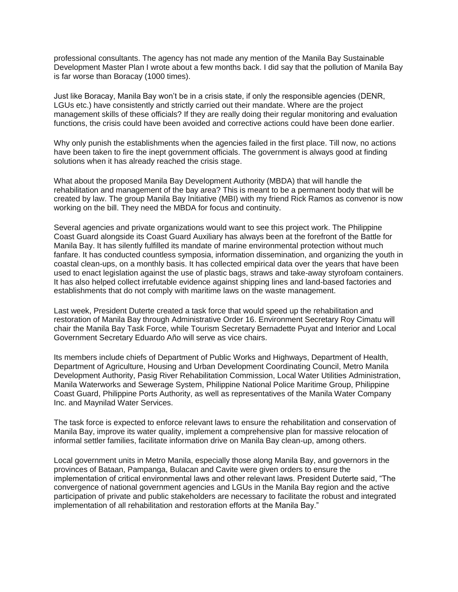professional consultants. The agency has not made any mention of the Manila Bay Sustainable Development Master Plan I wrote about a few months back. I did say that the pollution of Manila Bay is far worse than Boracay (1000 times).

Just like Boracay, Manila Bay won't be in a crisis state, if only the responsible agencies (DENR, LGUs etc.) have consistently and strictly carried out their mandate. Where are the project management skills of these officials? If they are really doing their regular monitoring and evaluation functions, the crisis could have been avoided and corrective actions could have been done earlier.

Why only punish the establishments when the agencies failed in the first place. Till now, no actions have been taken to fire the inept government officials. The government is always good at finding solutions when it has already reached the crisis stage.

What about the proposed Manila Bay Development Authority (MBDA) that will handle the rehabilitation and management of the bay area? This is meant to be a permanent body that will be created by law. The group Manila Bay Initiative (MBI) with my friend Rick Ramos as convenor is now working on the bill. They need the MBDA for focus and continuity.

Several agencies and private organizations would want to see this project work. The Philippine Coast Guard alongside its Coast Guard Auxiliary has always been at the forefront of the Battle for Manila Bay. It has silently fulfilled its mandate of marine environmental protection without much fanfare. It has conducted countless symposia, information dissemination, and organizing the youth in coastal clean-ups, on a monthly basis. It has collected empirical data over the years that have been used to enact legislation against the use of plastic bags, straws and take-away styrofoam containers. It has also helped collect irrefutable evidence against shipping lines and land-based factories and establishments that do not comply with maritime laws on the waste management.

Last week, President Duterte created a task force that would speed up the rehabilitation and restoration of Manila Bay through Administrative Order 16. Environment Secretary Roy Cimatu will chair the Manila Bay Task Force, while Tourism Secretary Bernadette Puyat and Interior and Local Government Secretary Eduardo Año will serve as vice chairs.

Its members include chiefs of Department of Public Works and Highways, Department of Health, Department of Agriculture, Housing and Urban Development Coordinating Council, Metro Manila Development Authority, Pasig River Rehabilitation Commission, Local Water Utilities Administration, Manila Waterworks and Sewerage System, Philippine National Police Maritime Group, Philippine Coast Guard, Philippine Ports Authority, as well as representatives of the Manila Water Company Inc. and Maynilad Water Services.

The task force is expected to enforce relevant laws to ensure the rehabilitation and conservation of Manila Bay, improve its water quality, implement a comprehensive plan for massive relocation of informal settler families, facilitate information drive on Manila Bay clean-up, among others.

Local government units in Metro Manila, especially those along Manila Bay, and governors in the provinces of Bataan, Pampanga, Bulacan and Cavite were given orders to ensure the implementation of critical environmental laws and other relevant laws. President Duterte said, "The convergence of national government agencies and LGUs in the Manila Bay region and the active participation of private and public stakeholders are necessary to facilitate the robust and integrated implementation of all rehabilitation and restoration efforts at the Manila Bay."